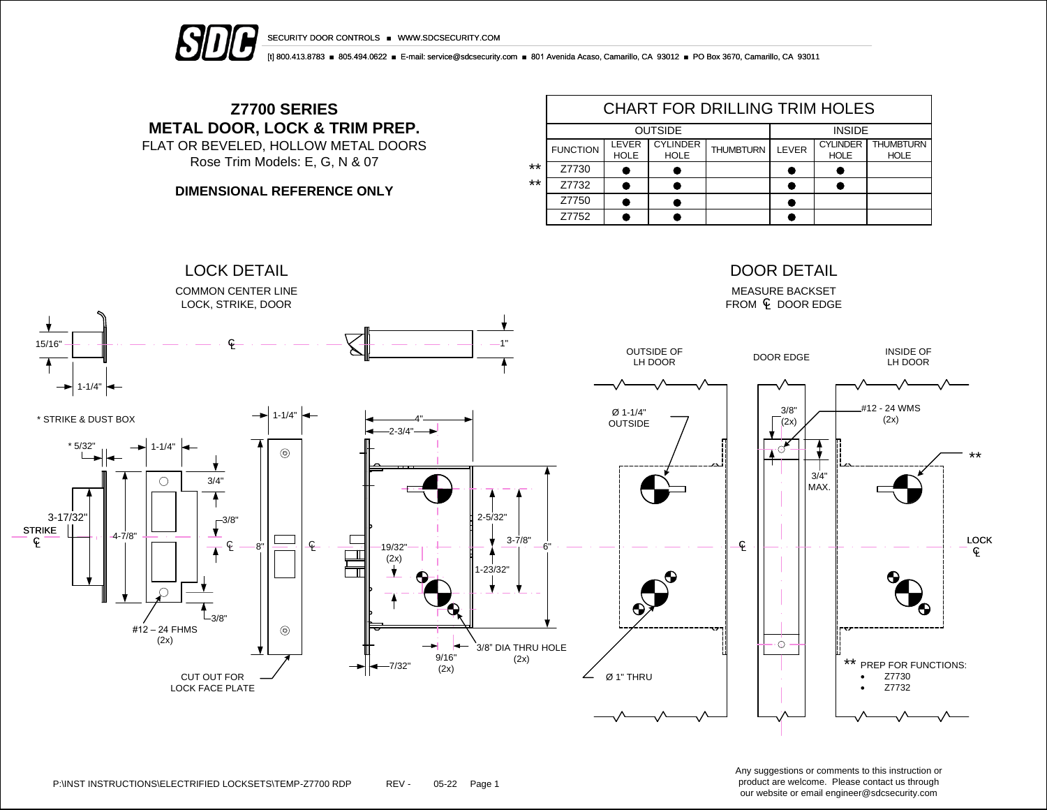



[t] 800.413.8783 ■ 805.494.0622 ■ E-mail: service@sdcsecurity.com ■ 801 Avenida Acaso, Camarillo, CA 93012 ■ PO Box 3670, Camarillo, CA 93011

## **Z7700 SERIES METAL DOOR, LOCK & TRIM PREP.** FLAT OR BEVELED, HOLLOW METAL DOORS

Rose Trim Models: E, G, N & 07

**DIMENSIONAL REFERENCE ONLY**

|    | <b>CHART FOR DRILLING TRIM HOLES</b> |                      |                                |                  |              |                                |                                 |  |  |  |  |
|----|--------------------------------------|----------------------|--------------------------------|------------------|--------------|--------------------------------|---------------------------------|--|--|--|--|
|    |                                      | <b>OUTSIDE</b>       | <b>INSIDE</b>                  |                  |              |                                |                                 |  |  |  |  |
|    | <b>FUNCTION</b>                      | LEVER<br><b>HOLE</b> | <b>CYLINDER</b><br><b>HOLE</b> | <b>THUMBTURN</b> | <b>LEVER</b> | <b>CYLINDER</b><br><b>HOLE</b> | <b>THUMBTURN</b><br><b>HOLE</b> |  |  |  |  |
| ** | Z7730                                |                      |                                |                  |              |                                |                                 |  |  |  |  |
| ** | Z7732                                |                      |                                |                  |              |                                |                                 |  |  |  |  |
|    | Z7750                                |                      |                                |                  |              |                                |                                 |  |  |  |  |
|    | Z7752                                |                      |                                |                  |              |                                |                                 |  |  |  |  |



Any suggestions or comments to this instruction or product are welcome. Please contact us through our website or email engineer@sdcsecurity.com